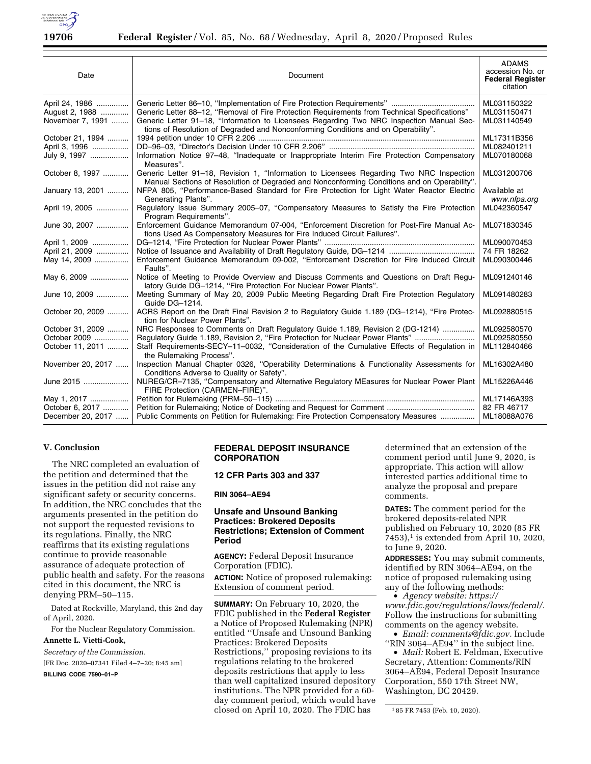

| Date              | Document                                                                                                                                                                                | <b>ADAMS</b><br>accession No. or<br><b>Federal Register</b><br>citation |
|-------------------|-----------------------------------------------------------------------------------------------------------------------------------------------------------------------------------------|-------------------------------------------------------------------------|
| April 24, 1986    |                                                                                                                                                                                         | ML031150322                                                             |
| August 2, 1988    | Generic Letter 88-12, "Removal of Fire Protection Requirements from Technical Specifications"                                                                                           | ML031150471                                                             |
| November 7, 1991  | Generic Letter 91-18, "Information to Licensees Regarding Two NRC Inspection Manual Sec-<br>tions of Resolution of Degraded and Nonconforming Conditions and on Operability".           | ML031140549                                                             |
| October 21, 1994  |                                                                                                                                                                                         | ML17311B356                                                             |
| April 3, 1996     |                                                                                                                                                                                         | ML082401211                                                             |
| July 9, 1997      | Information Notice 97-48, "Inadequate or Inappropriate Interim Fire Protection Compensatory<br>Measures".                                                                               | ML070180068                                                             |
| October 8, 1997   | Generic Letter 91–18, Revision 1, "Information to Licensees Regarding Two NRC Inspection<br>Manual Sections of Resolution of Degraded and Nonconforming Conditions and on Operability". | ML031200706                                                             |
| January 13, 2001  | NFPA 805, "Performance-Based Standard for Fire Protection for Light Water Reactor Electric<br>Generating Plants".                                                                       | Available at<br>www.nfpa.org                                            |
| April 19, 2005    | Regulatory Issue Summary 2005-07, "Compensatory Measures to Satisfy the Fire Protection<br>Program Requirements".                                                                       | ML042360547                                                             |
| June 30, 2007     | Enforcement Guidance Memorandum 07-004, "Enforcement Discretion for Post-Fire Manual Ac-<br>tions Used As Compensatory Measures for Fire Induced Circuit Failures".                     | ML071830345                                                             |
| April 1, 2009     |                                                                                                                                                                                         | ML090070453                                                             |
| April 21, 2009    |                                                                                                                                                                                         | 74 FR 18262                                                             |
| May 14, 2009      | Enforcement Guidance Memorandum 09-002, "Enforcement Discretion for Fire Induced Circuit<br>Faults".                                                                                    | ML090300446                                                             |
| May 6, 2009       | Notice of Meeting to Provide Overview and Discuss Comments and Questions on Draft Regu-<br>latory Guide DG-1214, "Fire Protection For Nuclear Power Plants".                            | ML091240146                                                             |
| June 10, 2009     | Meeting Summary of May 20, 2009 Public Meeting Regarding Draft Fire Protection Regulatory<br>Guide DG-1214.                                                                             | ML091480283                                                             |
| October 20, 2009  | ACRS Report on the Draft Final Revision 2 to Regulatory Guide 1.189 (DG-1214), "Fire Protec-<br>tion for Nuclear Power Plants".                                                         | ML092880515                                                             |
| October 31, 2009  | NRC Responses to Comments on Draft Regulatory Guide 1.189, Revision 2 (DG-1214)                                                                                                         | ML092580570                                                             |
| October 2009      | Regulatory Guide 1.189, Revision 2, "Fire Protection for Nuclear Power Plants"                                                                                                          | ML092580550                                                             |
| October 11, 2011  | Staff Requirements-SECY-11-0032, "Consideration of the Cumulative Effects of Regulation in<br>the Rulemaking Process".                                                                  | ML112840466                                                             |
| November 20, 2017 | Inspection Manual Chapter 0326, "Operability Determinations & Functionality Assessments for<br>Conditions Adverse to Quality or Safety".                                                | ML16302A480                                                             |
| June 2015         | NUREG/CR-7135, "Compensatory and Alternative Regulatory MEasures for Nuclear Power Plant<br>FIRE Protection (CARMEN-FIRE)".                                                             | ML15226A446                                                             |
| May 1, 2017       |                                                                                                                                                                                         | ML17146A393                                                             |
| October 6, 2017   |                                                                                                                                                                                         | 82 FR 46717                                                             |
| December 20, 2017 | Public Comments on Petition for Rulemaking: Fire Protection Compensatory Measures                                                                                                       | ML18088A076                                                             |

### **V. Conclusion**

The NRC completed an evaluation of the petition and determined that the issues in the petition did not raise any significant safety or security concerns. In addition, the NRC concludes that the arguments presented in the petition do not support the requested revisions to its regulations. Finally, the NRC reaffirms that its existing regulations continue to provide reasonable assurance of adequate protection of public health and safety. For the reasons cited in this document, the NRC is denying PRM–50–115.

Dated at Rockville, Maryland, this 2nd day of April, 2020.

For the Nuclear Regulatory Commission.

## **Annette L. Vietti-Cook,**

*Secretary of the Commission.*  [FR Doc. 2020–07341 Filed 4–7–20; 8:45 am] **BILLING CODE 7590–01–P** 

# **FEDERAL DEPOSIT INSURANCE CORPORATION**

## **12 CFR Parts 303 and 337**

**RIN 3064–AE94** 

## **Unsafe and Unsound Banking Practices: Brokered Deposits Restrictions; Extension of Comment Period**

**AGENCY:** Federal Deposit Insurance Corporation (FDIC).

**ACTION:** Notice of proposed rulemaking: Extension of comment period.

**SUMMARY:** On February 10, 2020, the FDIC published in the **Federal Register**  a Notice of Proposed Rulemaking (NPR) entitled ''Unsafe and Unsound Banking Practices: Brokered Deposits Restrictions,'' proposing revisions to its regulations relating to the brokered deposits restrictions that apply to less than well capitalized insured depository institutions. The NPR provided for a 60 day comment period, which would have closed on April 10, 2020. The FDIC has

determined that an extension of the comment period until June 9, 2020, is appropriate. This action will allow interested parties additional time to analyze the proposal and prepare comments.

**DATES:** The comment period for the brokered deposits-related NPR published on February 10, 2020 (85 FR 7453),<sup>1</sup> is extended from April 10, 2020, to June 9, 2020.

**ADDRESSES:** You may submit comments, identified by RIN 3064–AE94, on the notice of proposed rulemaking using any of the following methods:

• *Agency website: [https://](https://www.fdic.gov/regulations/laws/federal/) [www.fdic.gov/regulations/laws/federal/.](https://www.fdic.gov/regulations/laws/federal/)*  Follow the instructions for submitting comments on the agency website.

• *Email: [comments@fdic.gov.](mailto:comments@fdic.gov)* Include "RIN 3064-AE94" in the subject line.

• *Mail:* Robert E. Feldman, Executive Secretary, Attention: Comments/RIN 3064–AE94, Federal Deposit Insurance Corporation, 550 17th Street NW, Washington, DC 20429.

1 85 FR 7453 (Feb. 10, 2020).